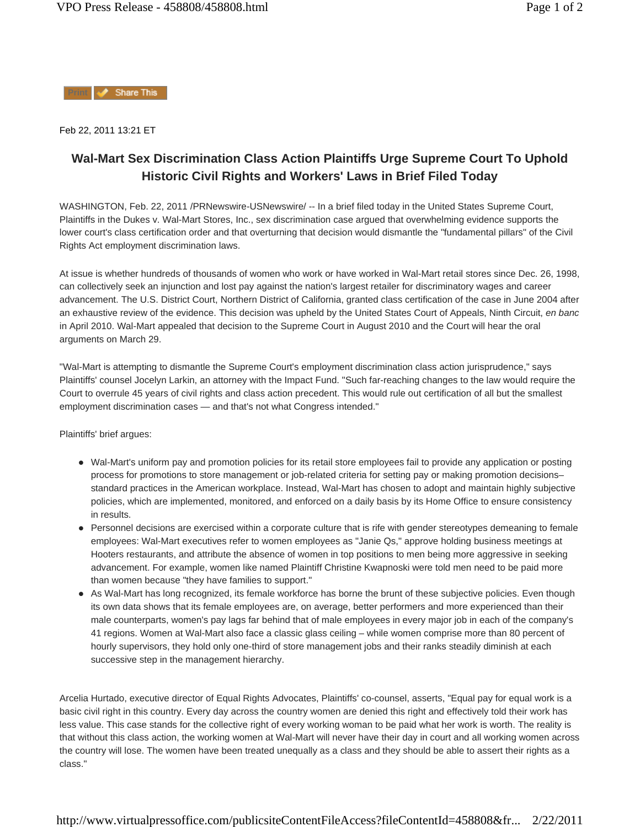Share This

Feb 22, 2011 13:21 ET

## **Wal-Mart Sex Discrimination Class Action Plaintiffs Urge Supreme Court To Uphold Historic Civil Rights and Workers' Laws in Brief Filed Today**

WASHINGTON, Feb. 22, 2011 /PRNewswire-USNewswire/ -- In a brief filed today in the United States Supreme Court, Plaintiffs in the Dukes v. Wal-Mart Stores, Inc., sex discrimination case argued that overwhelming evidence supports the lower court's class certification order and that overturning that decision would dismantle the "fundamental pillars" of the Civil Rights Act employment discrimination laws.

At issue is whether hundreds of thousands of women who work or have worked in Wal-Mart retail stores since Dec. 26, 1998, can collectively seek an injunction and lost pay against the nation's largest retailer for discriminatory wages and career advancement. The U.S. District Court, Northern District of California, granted class certification of the case in June 2004 after an exhaustive review of the evidence. This decision was upheld by the United States Court of Appeals, Ninth Circuit, *en banc* in April 2010. Wal-Mart appealed that decision to the Supreme Court in August 2010 and the Court will hear the oral arguments on March 29.

"Wal-Mart is attempting to dismantle the Supreme Court's employment discrimination class action jurisprudence," says Plaintiffs' counsel Jocelyn Larkin, an attorney with the Impact Fund. "Such far-reaching changes to the law would require the Court to overrule 45 years of civil rights and class action precedent. This would rule out certification of all but the smallest employment discrimination cases — and that's not what Congress intended."

Plaintiffs' brief argues:

- Wal-Mart's uniform pay and promotion policies for its retail store employees fail to provide any application or posting process for promotions to store management or job-related criteria for setting pay or making promotion decisions– standard practices in the American workplace. Instead, Wal-Mart has chosen to adopt and maintain highly subjective policies, which are implemented, monitored, and enforced on a daily basis by its Home Office to ensure consistency in results.
- Personnel decisions are exercised within a corporate culture that is rife with gender stereotypes demeaning to female employees: Wal-Mart executives refer to women employees as "Janie Qs," approve holding business meetings at Hooters restaurants, and attribute the absence of women in top positions to men being more aggressive in seeking advancement. For example, women like named Plaintiff Christine Kwapnoski were told men need to be paid more than women because "they have families to support."
- As Wal-Mart has long recognized, its female workforce has borne the brunt of these subjective policies. Even though its own data shows that its female employees are, on average, better performers and more experienced than their male counterparts, women's pay lags far behind that of male employees in every major job in each of the company's 41 regions. Women at Wal-Mart also face a classic glass ceiling – while women comprise more than 80 percent of hourly supervisors, they hold only one-third of store management jobs and their ranks steadily diminish at each successive step in the management hierarchy.

Arcelia Hurtado, executive director of Equal Rights Advocates, Plaintiffs' co-counsel, asserts, "Equal pay for equal work is a basic civil right in this country. Every day across the country women are denied this right and effectively told their work has less value. This case stands for the collective right of every working woman to be paid what her work is worth. The reality is that without this class action, the working women at Wal-Mart will never have their day in court and all working women across the country will lose. The women have been treated unequally as a class and they should be able to assert their rights as a class."